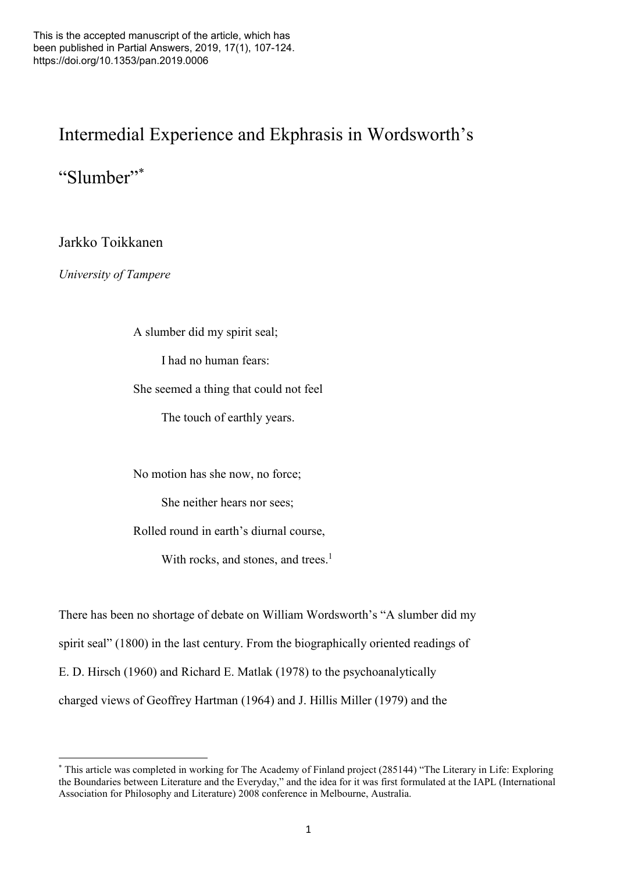# Intermedial Experience and Ekphrasis in Wordsworth's

# "Slumber"\*

# Jarkko Toikkanen

*University of Tampere*

A slumber did my spirit seal;

I had no human fears:

She seemed a thing that could not feel

The touch of earthly years.

No motion has she now, no force;

She neither hears nor sees;

Rolled round in earth's diurnal course,

With rocks, and stones, and trees. $<sup>1</sup>$ </sup>

There has been no shortage of debate on William Wordsworth's "A slumber did my

spirit seal" (1800) in the last century. From the biographically oriented readings of

E. D. Hirsch (1960) and Richard E. Matlak (1978) to the psychoanalytically

charged views of Geoffrey Hartman (1964) and J. Hillis Miller (1979) and the

<sup>\*</sup> This article was completed in working for The Academy of Finland project (285144) "The Literary in Life: Exploring the Boundaries between Literature and the Everyday," and the idea for it was first formulated at the IAPL (International Association for Philosophy and Literature) 2008 conference in Melbourne, Australia.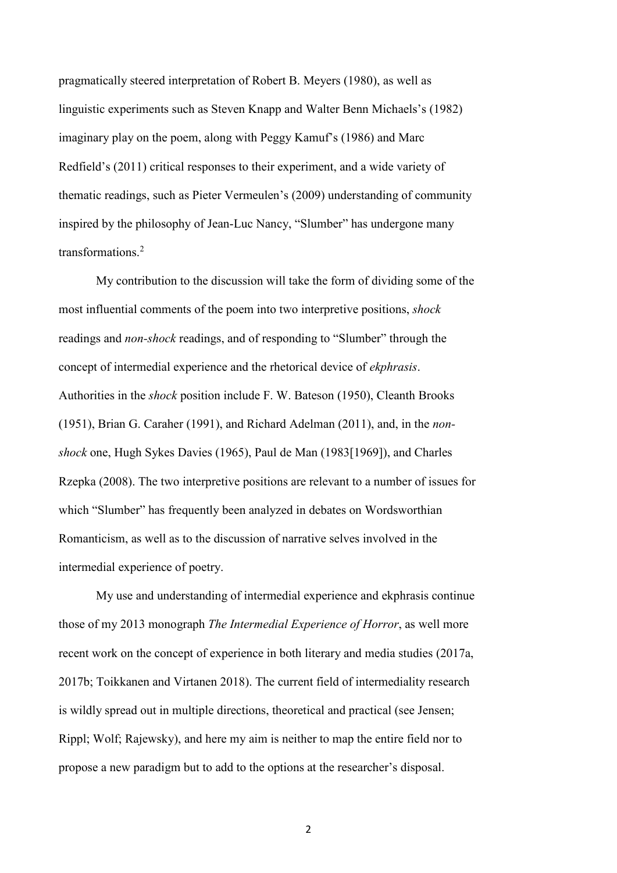pragmatically steered interpretation of Robert B. Meyers (1980), as well as linguistic experiments such as Steven Knapp and Walter Benn Michaels's (1982) imaginary play on the poem, along with Peggy Kamuf's (1986) and Marc Redfield's (2011) critical responses to their experiment, and a wide variety of thematic readings, such as Pieter Vermeulen's (2009) understanding of community inspired by the philosophy of Jean-Luc Nancy, "Slumber" has undergone many transformations.<sup>2</sup>

My contribution to the discussion will take the form of dividing some of the most influential comments of the poem into two interpretive positions, *shock* readings and *non-shock* readings, and of responding to "Slumber" through the concept of intermedial experience and the rhetorical device of *ekphrasis*. Authorities in the *shock* position include F. W. Bateson (1950), Cleanth Brooks (1951), Brian G. Caraher (1991), and Richard Adelman (2011), and, in the *nonshock* one, Hugh Sykes Davies (1965), Paul de Man (1983[1969]), and Charles Rzepka (2008). The two interpretive positions are relevant to a number of issues for which "Slumber" has frequently been analyzed in debates on Wordsworthian Romanticism, as well as to the discussion of narrative selves involved in the intermedial experience of poetry.

My use and understanding of intermedial experience and ekphrasis continue those of my 2013 monograph *The Intermedial Experience of Horror*, as well more recent work on the concept of experience in both literary and media studies (2017a, 2017b; Toikkanen and Virtanen 2018). The current field of intermediality research is wildly spread out in multiple directions, theoretical and practical (see Jensen; Rippl; Wolf; Rajewsky), and here my aim is neither to map the entire field nor to propose a new paradigm but to add to the options at the researcher's disposal.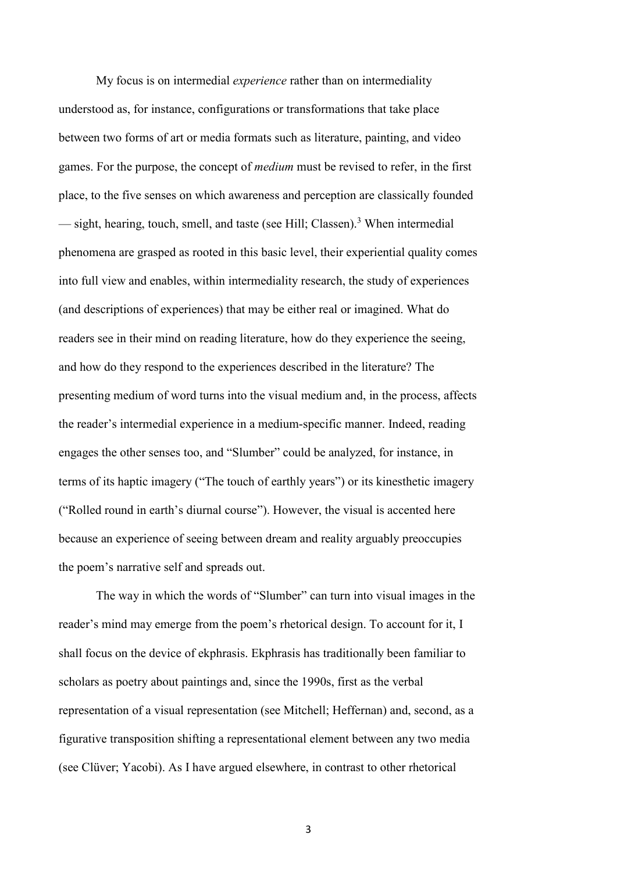My focus is on intermedial *experience* rather than on intermediality understood as, for instance, configurations or transformations that take place between two forms of art or media formats such as literature, painting, and video games. For the purpose, the concept of *medium* must be revised to refer, in the first place, to the five senses on which awareness and perception are classically founded — sight, hearing, touch, smell, and taste (see Hill; Classen).<sup>3</sup> When intermedial phenomena are grasped as rooted in this basic level, their experiential quality comes into full view and enables, within intermediality research, the study of experiences (and descriptions of experiences) that may be either real or imagined. What do readers see in their mind on reading literature, how do they experience the seeing, and how do they respond to the experiences described in the literature? The presenting medium of word turns into the visual medium and, in the process, affects the reader's intermedial experience in a medium-specific manner. Indeed, reading engages the other senses too, and "Slumber" could be analyzed, for instance, in terms of its haptic imagery ("The touch of earthly years") or its kinesthetic imagery ("Rolled round in earth's diurnal course"). However, the visual is accented here because an experience of seeing between dream and reality arguably preoccupies the poem's narrative self and spreads out.

The way in which the words of "Slumber" can turn into visual images in the reader's mind may emerge from the poem's rhetorical design. To account for it, I shall focus on the device of ekphrasis. Ekphrasis has traditionally been familiar to scholars as poetry about paintings and, since the 1990s, first as the verbal representation of a visual representation (see Mitchell; Heffernan) and, second, as a figurative transposition shifting a representational element between any two media (see Clüver; Yacobi). As I have argued elsewhere, in contrast to other rhetorical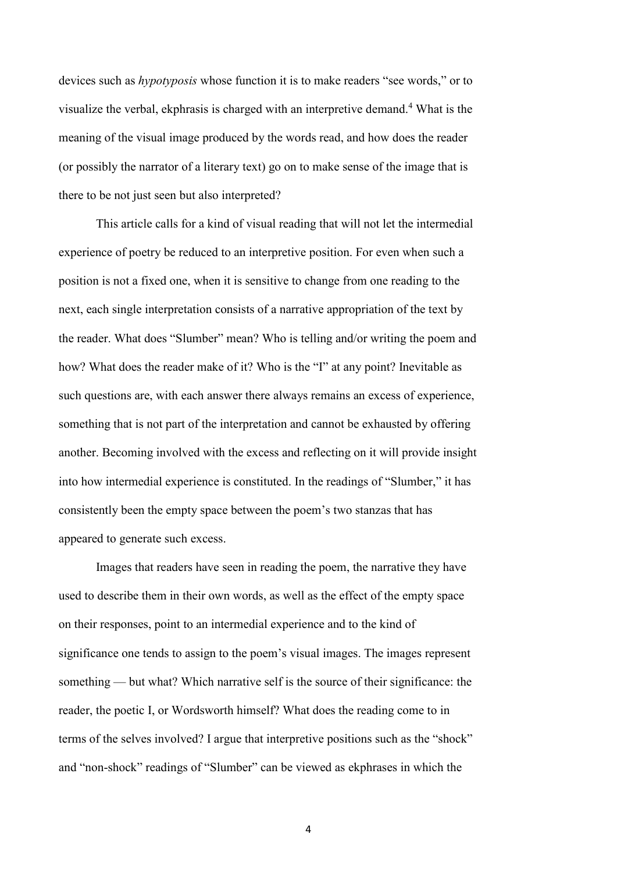devices such as *hypotyposis* whose function it is to make readers "see words," or to visualize the verbal, ekphrasis is charged with an interpretive demand.<sup>4</sup> What is the meaning of the visual image produced by the words read, and how does the reader (or possibly the narrator of a literary text) go on to make sense of the image that is there to be not just seen but also interpreted?

This article calls for a kind of visual reading that will not let the intermedial experience of poetry be reduced to an interpretive position. For even when such a position is not a fixed one, when it is sensitive to change from one reading to the next, each single interpretation consists of a narrative appropriation of the text by the reader. What does "Slumber" mean? Who is telling and/or writing the poem and how? What does the reader make of it? Who is the "I" at any point? Inevitable as such questions are, with each answer there always remains an excess of experience, something that is not part of the interpretation and cannot be exhausted by offering another. Becoming involved with the excess and reflecting on it will provide insight into how intermedial experience is constituted. In the readings of "Slumber," it has consistently been the empty space between the poem's two stanzas that has appeared to generate such excess.

Images that readers have seen in reading the poem, the narrative they have used to describe them in their own words, as well as the effect of the empty space on their responses, point to an intermedial experience and to the kind of significance one tends to assign to the poem's visual images. The images represent something — but what? Which narrative self is the source of their significance: the reader, the poetic I, or Wordsworth himself? What does the reading come to in terms of the selves involved? I argue that interpretive positions such as the "shock" and "non-shock" readings of "Slumber" can be viewed as ekphrases in which the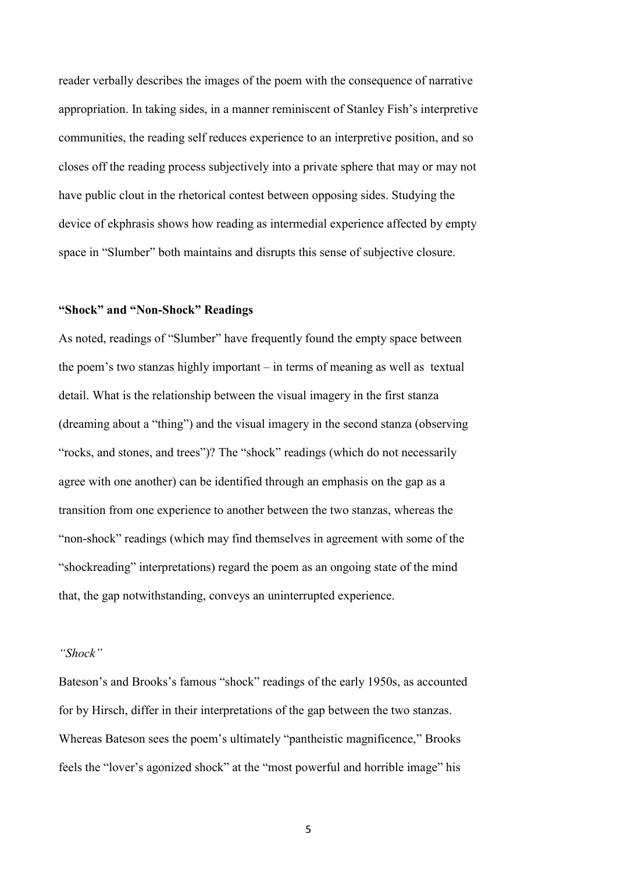reader verbally describes the images of the poem with the consequence of narrative appropriation. In taking sides, in a manner reminiscent of Stanley Fish's interpretive communities, the reading self reduces experience to an interpretive position, and so closes off the reading process subjectively into a private sphere that may or may not have public clout in the rhetorical contest between opposing sides. Studying the device of ekphrasis shows how reading as intermedial experience affected by empty space in "Slumber" both maintains and disrupts this sense of subjective closure.

# **"Shock" and "Non-Shock" Readings**

As noted, readings of "Slumber" have frequently found the empty space between the poem's two stanzas highly important – in terms of meaning as well as textual detail. What is the relationship between the visual imagery in the first stanza (dreaming about a "thing") and the visual imagery in the second stanza (observing "rocks, and stones, and trees")? The "shock" readings (which do not necessarily agree with one another) can be identified through an emphasis on the gap as a transition from one experience to another between the two stanzas, whereas the "non-shock" readings (which may find themselves in agreement with some of the "shockreading" interpretations) regard the poem as an ongoing state of the mind that, the gap notwithstanding, conveys an uninterrupted experience.

#### *"Shock"*

Bateson's and Brooks's famous "shock" readings of the early 1950s, as accounted for by Hirsch, differ in their interpretations of the gap between the two stanzas. Whereas Bateson sees the poem's ultimately "pantheistic magnificence," Brooks feels the "lover's agonized shock" at the "most powerful and horrible image" his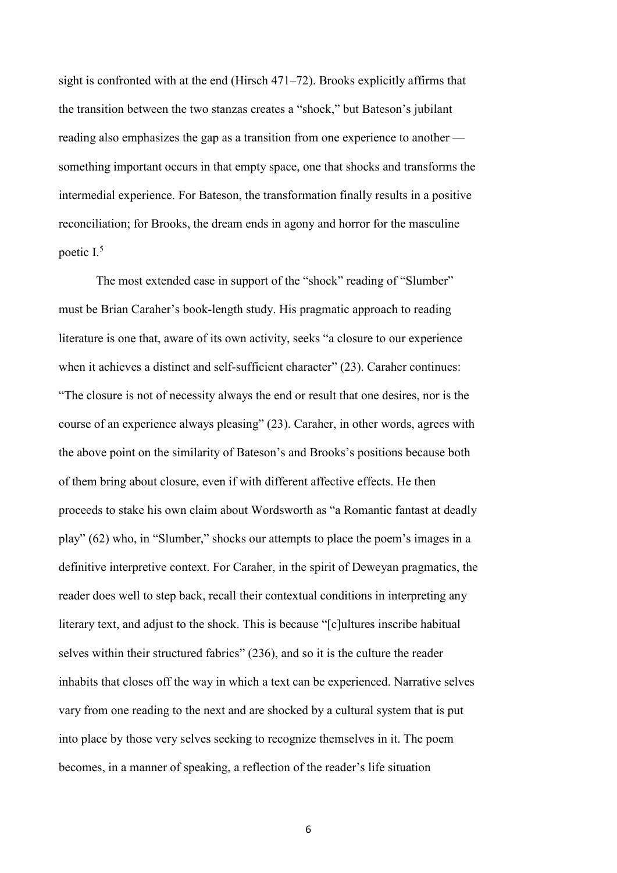sight is confronted with at the end (Hirsch 471–72). Brooks explicitly affirms that the transition between the two stanzas creates a "shock," but Bateson's jubilant reading also emphasizes the gap as a transition from one experience to another something important occurs in that empty space, one that shocks and transforms the intermedial experience. For Bateson, the transformation finally results in a positive reconciliation; for Brooks, the dream ends in agony and horror for the masculine poetic I.<sup>5</sup>

The most extended case in support of the "shock" reading of "Slumber" must be Brian Caraher's book-length study. His pragmatic approach to reading literature is one that, aware of its own activity, seeks "a closure to our experience when it achieves a distinct and self-sufficient character" (23). Caraher continues: "The closure is not of necessity always the end or result that one desires, nor is the course of an experience always pleasing" (23). Caraher, in other words, agrees with the above point on the similarity of Bateson's and Brooks's positions because both of them bring about closure, even if with different affective effects. He then proceeds to stake his own claim about Wordsworth as "a Romantic fantast at deadly play" (62) who, in "Slumber," shocks our attempts to place the poem's images in a definitive interpretive context. For Caraher, in the spirit of Deweyan pragmatics, the reader does well to step back, recall their contextual conditions in interpreting any literary text, and adjust to the shock. This is because "[c]ultures inscribe habitual selves within their structured fabrics" (236), and so it is the culture the reader inhabits that closes off the way in which a text can be experienced. Narrative selves vary from one reading to the next and are shocked by a cultural system that is put into place by those very selves seeking to recognize themselves in it. The poem becomes, in a manner of speaking, a reflection of the reader's life situation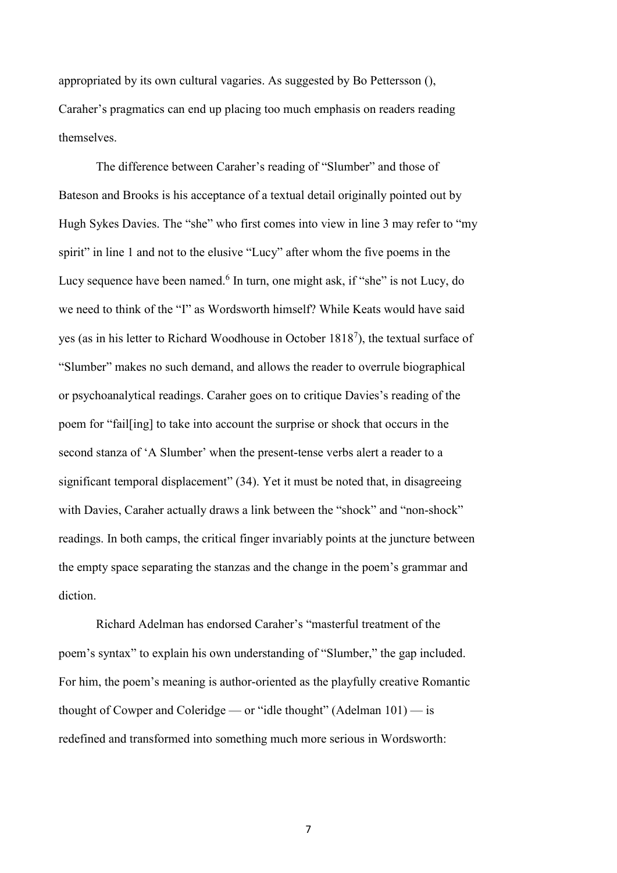appropriated by its own cultural vagaries. As suggested by Bo Pettersson (), Caraher's pragmatics can end up placing too much emphasis on readers reading themselves.

The difference between Caraher's reading of "Slumber" and those of Bateson and Brooks is his acceptance of a textual detail originally pointed out by Hugh Sykes Davies. The "she" who first comes into view in line 3 may refer to "my spirit" in line 1 and not to the elusive "Lucy" after whom the five poems in the Lucy sequence have been named.<sup>6</sup> In turn, one might ask, if "she" is not Lucy, do we need to think of the "I" as Wordsworth himself? While Keats would have said yes (as in his letter to Richard Woodhouse in October 1818<sup>7</sup> ), the textual surface of "Slumber" makes no such demand, and allows the reader to overrule biographical or psychoanalytical readings. Caraher goes on to critique Davies's reading of the poem for "fail[ing] to take into account the surprise or shock that occurs in the second stanza of 'A Slumber' when the present-tense verbs alert a reader to a significant temporal displacement" (34). Yet it must be noted that, in disagreeing with Davies, Caraher actually draws a link between the "shock" and "non-shock" readings. In both camps, the critical finger invariably points at the juncture between the empty space separating the stanzas and the change in the poem's grammar and diction.

Richard Adelman has endorsed Caraher's "masterful treatment of the poem's syntax" to explain his own understanding of "Slumber," the gap included. For him, the poem's meaning is author-oriented as the playfully creative Romantic thought of Cowper and Coleridge — or "idle thought" (Adelman 101) — is redefined and transformed into something much more serious in Wordsworth: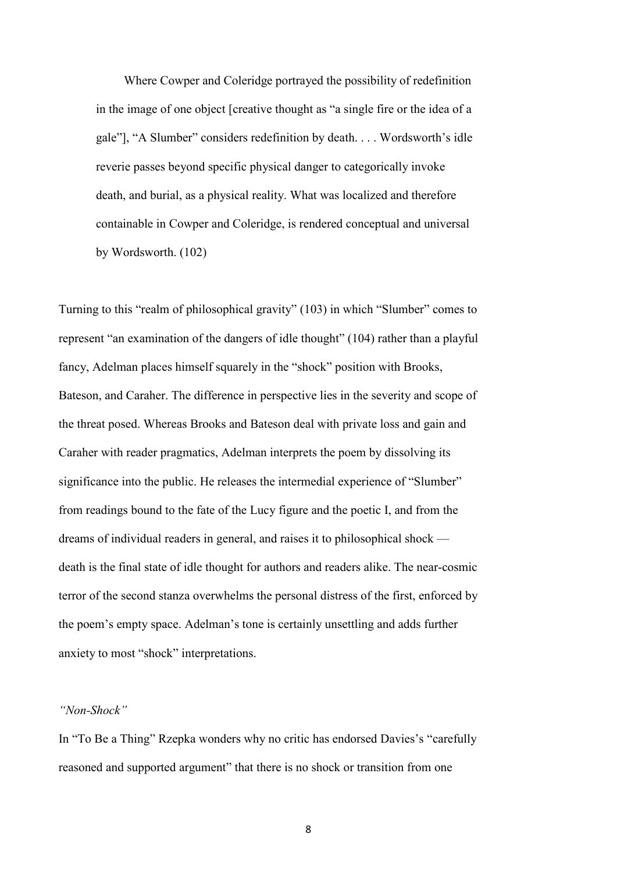Where Cowper and Coleridge portrayed the possibility of redefinition in the image of one object [creative thought as "a single fire or the idea of a gale"], "A Slumber" considers redefinition by death. . . . Wordsworth's idle reverie passes beyond specific physical danger to categorically invoke death, and burial, as a physical reality. What was localized and therefore containable in Cowper and Coleridge, is rendered conceptual and universal by Wordsworth. (102)

Turning to this "realm of philosophical gravity" (103) in which "Slumber" comes to represent "an examination of the dangers of idle thought" (104) rather than a playful fancy, Adelman places himself squarely in the "shock" position with Brooks, Bateson, and Caraher. The difference in perspective lies in the severity and scope of the threat posed. Whereas Brooks and Bateson deal with private loss and gain and Caraher with reader pragmatics, Adelman interprets the poem by dissolving its significance into the public. He releases the intermedial experience of "Slumber" from readings bound to the fate of the Lucy figure and the poetic I, and from the dreams of individual readers in general, and raises it to philosophical shock death is the final state of idle thought for authors and readers alike. The near-cosmic terror of the second stanza overwhelms the personal distress of the first, enforced by the poem's empty space. Adelman's tone is certainly unsettling and adds further anxiety to most "shock" interpretations.

## *"Non-Shock"*

In "To Be a Thing" Rzepka wonders why no critic has endorsed Davies's "carefully reasoned and supported argument" that there is no shock or transition from one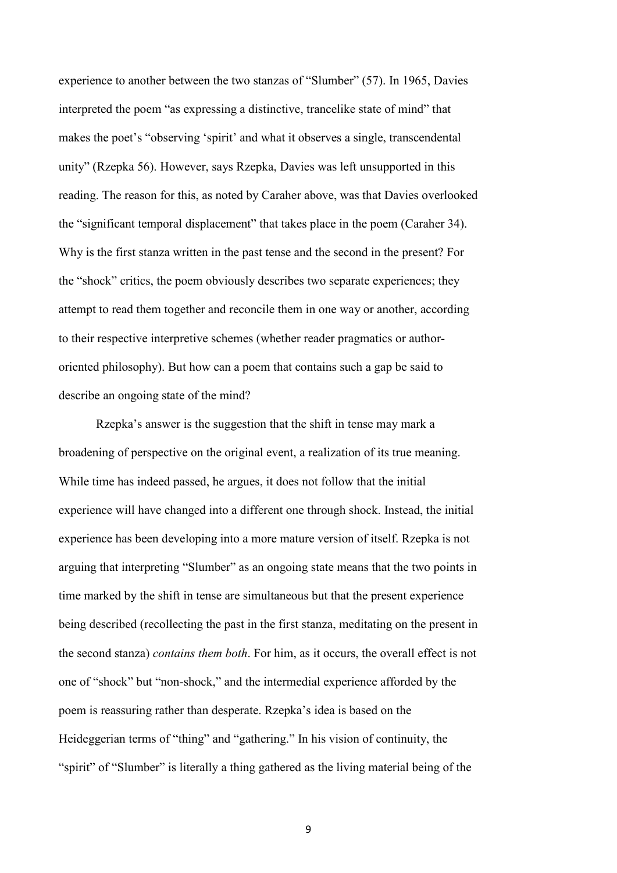experience to another between the two stanzas of "Slumber" (57). In 1965, Davies interpreted the poem "as expressing a distinctive, trancelike state of mind" that makes the poet's "observing 'spirit' and what it observes a single, transcendental unity" (Rzepka 56). However, says Rzepka, Davies was left unsupported in this reading. The reason for this, as noted by Caraher above, was that Davies overlooked the "significant temporal displacement" that takes place in the poem (Caraher 34). Why is the first stanza written in the past tense and the second in the present? For the "shock" critics, the poem obviously describes two separate experiences; they attempt to read them together and reconcile them in one way or another, according to their respective interpretive schemes (whether reader pragmatics or authororiented philosophy). But how can a poem that contains such a gap be said to describe an ongoing state of the mind?

Rzepka's answer is the suggestion that the shift in tense may mark a broadening of perspective on the original event, a realization of its true meaning. While time has indeed passed, he argues, it does not follow that the initial experience will have changed into a different one through shock. Instead, the initial experience has been developing into a more mature version of itself. Rzepka is not arguing that interpreting "Slumber" as an ongoing state means that the two points in time marked by the shift in tense are simultaneous but that the present experience being described (recollecting the past in the first stanza, meditating on the present in the second stanza) *contains them both*. For him, as it occurs, the overall effect is not one of "shock" but "non-shock," and the intermedial experience afforded by the poem is reassuring rather than desperate. Rzepka's idea is based on the Heideggerian terms of "thing" and "gathering." In his vision of continuity, the "spirit" of "Slumber" is literally a thing gathered as the living material being of the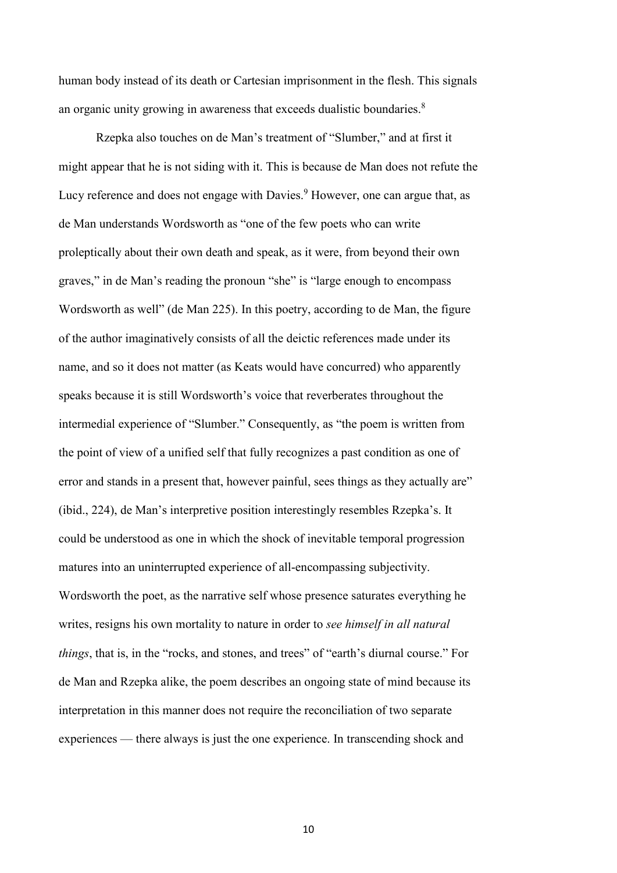human body instead of its death or Cartesian imprisonment in the flesh. This signals an organic unity growing in awareness that exceeds dualistic boundaries.<sup>8</sup>

Rzepka also touches on de Man's treatment of "Slumber," and at first it might appear that he is not siding with it. This is because de Man does not refute the Lucy reference and does not engage with Davies.<sup>9</sup> However, one can argue that, as de Man understands Wordsworth as "one of the few poets who can write proleptically about their own death and speak, as it were, from beyond their own graves," in de Man's reading the pronoun "she" is "large enough to encompass Wordsworth as well" (de Man 225). In this poetry, according to de Man, the figure of the author imaginatively consists of all the deictic references made under its name, and so it does not matter (as Keats would have concurred) who apparently speaks because it is still Wordsworth's voice that reverberates throughout the intermedial experience of "Slumber." Consequently, as "the poem is written from the point of view of a unified self that fully recognizes a past condition as one of error and stands in a present that, however painful, sees things as they actually are" (ibid., 224), de Man's interpretive position interestingly resembles Rzepka's. It could be understood as one in which the shock of inevitable temporal progression matures into an uninterrupted experience of all-encompassing subjectivity. Wordsworth the poet, as the narrative self whose presence saturates everything he writes, resigns his own mortality to nature in order to *see himself in all natural things*, that is, in the "rocks, and stones, and trees" of "earth's diurnal course." For de Man and Rzepka alike, the poem describes an ongoing state of mind because its interpretation in this manner does not require the reconciliation of two separate experiences — there always is just the one experience. In transcending shock and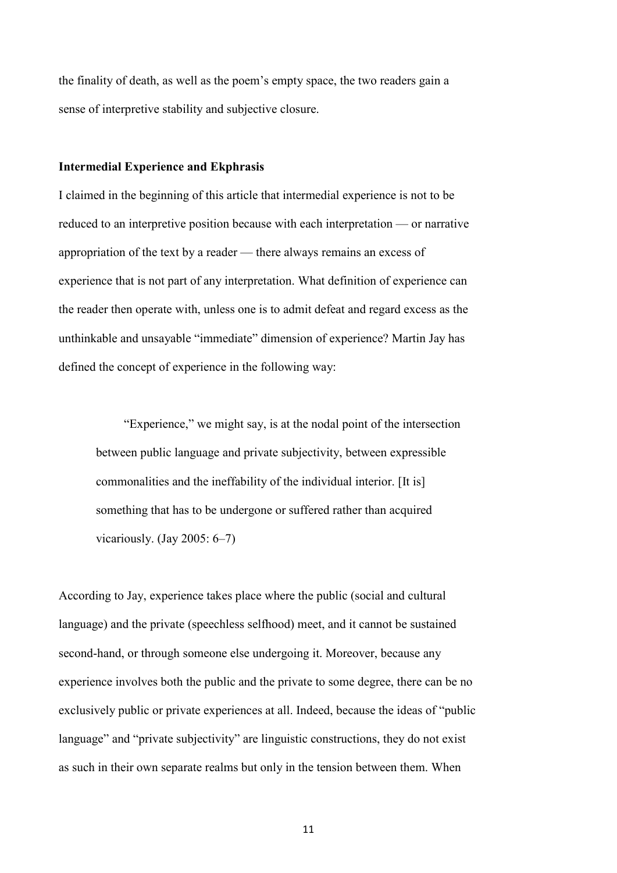the finality of death, as well as the poem's empty space, the two readers gain a sense of interpretive stability and subjective closure.

## **Intermedial Experience and Ekphrasis**

I claimed in the beginning of this article that intermedial experience is not to be reduced to an interpretive position because with each interpretation — or narrative appropriation of the text by a reader — there always remains an excess of experience that is not part of any interpretation. What definition of experience can the reader then operate with, unless one is to admit defeat and regard excess as the unthinkable and unsayable "immediate" dimension of experience? Martin Jay has defined the concept of experience in the following way:

"Experience," we might say, is at the nodal point of the intersection between public language and private subjectivity, between expressible commonalities and the ineffability of the individual interior. [It is] something that has to be undergone or suffered rather than acquired vicariously. (Jay 2005: 6–7)

According to Jay, experience takes place where the public (social and cultural language) and the private (speechless selfhood) meet, and it cannot be sustained second-hand, or through someone else undergoing it. Moreover, because any experience involves both the public and the private to some degree, there can be no exclusively public or private experiences at all. Indeed, because the ideas of "public language" and "private subjectivity" are linguistic constructions, they do not exist as such in their own separate realms but only in the tension between them. When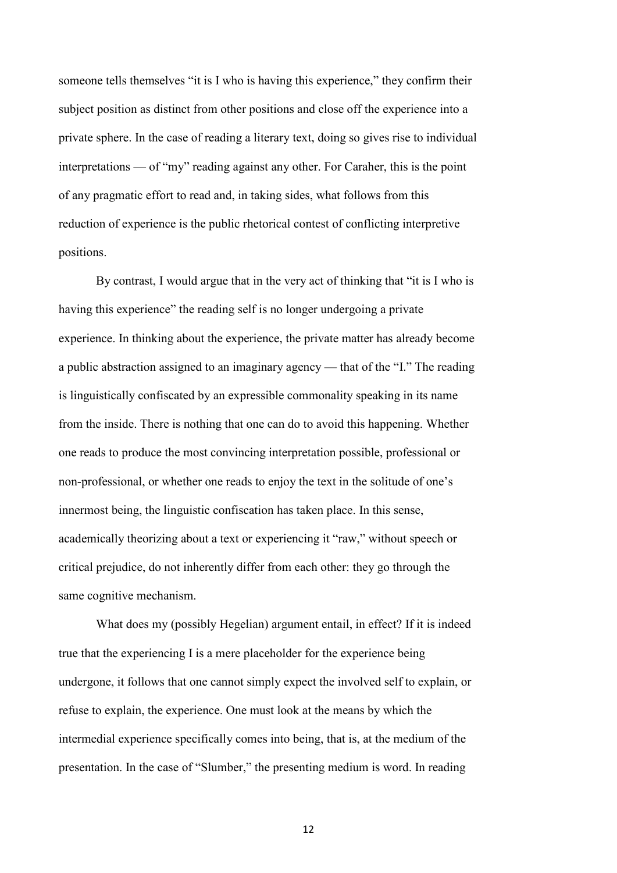someone tells themselves "it is I who is having this experience," they confirm their subject position as distinct from other positions and close off the experience into a private sphere. In the case of reading a literary text, doing so gives rise to individual interpretations — of "my" reading against any other. For Caraher, this is the point of any pragmatic effort to read and, in taking sides, what follows from this reduction of experience is the public rhetorical contest of conflicting interpretive positions.

By contrast, I would argue that in the very act of thinking that "it is I who is having this experience" the reading self is no longer undergoing a private experience. In thinking about the experience, the private matter has already become a public abstraction assigned to an imaginary agency — that of the "I." The reading is linguistically confiscated by an expressible commonality speaking in its name from the inside. There is nothing that one can do to avoid this happening. Whether one reads to produce the most convincing interpretation possible, professional or non-professional, or whether one reads to enjoy the text in the solitude of one's innermost being, the linguistic confiscation has taken place. In this sense, academically theorizing about a text or experiencing it "raw," without speech or critical prejudice, do not inherently differ from each other: they go through the same cognitive mechanism.

What does my (possibly Hegelian) argument entail, in effect? If it is indeed true that the experiencing I is a mere placeholder for the experience being undergone, it follows that one cannot simply expect the involved self to explain, or refuse to explain, the experience. One must look at the means by which the intermedial experience specifically comes into being, that is, at the medium of the presentation. In the case of "Slumber," the presenting medium is word. In reading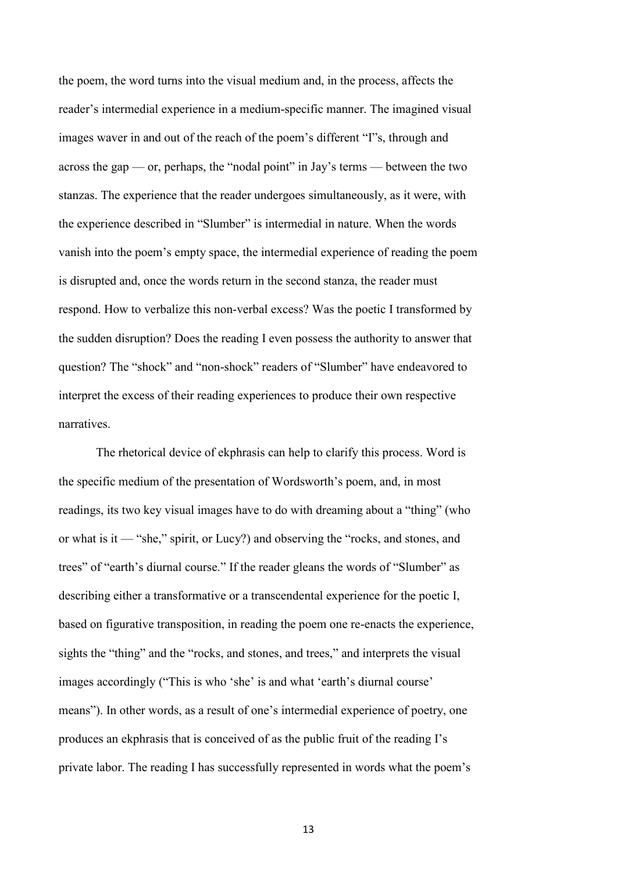the poem, the word turns into the visual medium and, in the process, affects the reader's intermedial experience in a medium-specific manner. The imagined visual images waver in and out of the reach of the poem's different "I"s, through and across the gap — or, perhaps, the "nodal point" in Jay's terms — between the two stanzas. The experience that the reader undergoes simultaneously, as it were, with the experience described in "Slumber" is intermedial in nature. When the words vanish into the poem's empty space, the intermedial experience of reading the poem is disrupted and, once the words return in the second stanza, the reader must respond. How to verbalize this non-verbal excess? Was the poetic I transformed by the sudden disruption? Does the reading I even possess the authority to answer that question? The "shock" and "non-shock" readers of "Slumber" have endeavored to interpret the excess of their reading experiences to produce their own respective narratives.

The rhetorical device of ekphrasis can help to clarify this process. Word is the specific medium of the presentation of Wordsworth's poem, and, in most readings, its two key visual images have to do with dreaming about a "thing" (who or what is it — "she," spirit, or Lucy?) and observing the "rocks, and stones, and trees" of "earth's diurnal course." If the reader gleans the words of "Slumber" as describing either a transformative or a transcendental experience for the poetic I, based on figurative transposition, in reading the poem one re-enacts the experience, sights the "thing" and the "rocks, and stones, and trees," and interprets the visual images accordingly ("This is who 'she' is and what 'earth's diurnal course' means"). In other words, as a result of one's intermedial experience of poetry, one produces an ekphrasis that is conceived of as the public fruit of the reading I's private labor. The reading I has successfully represented in words what the poem's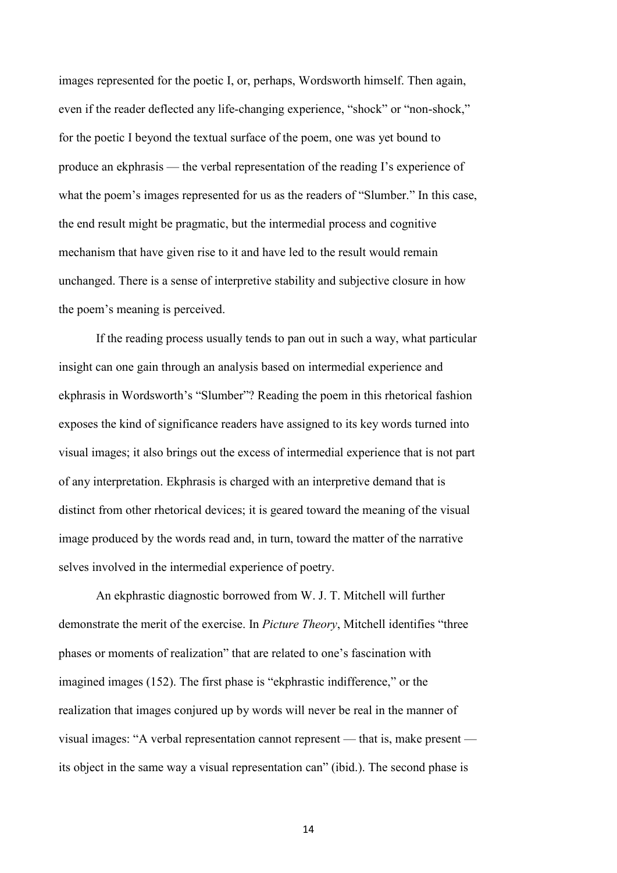images represented for the poetic I, or, perhaps, Wordsworth himself. Then again, even if the reader deflected any life-changing experience, "shock" or "non-shock," for the poetic I beyond the textual surface of the poem, one was yet bound to produce an ekphrasis — the verbal representation of the reading I's experience of what the poem's images represented for us as the readers of "Slumber." In this case, the end result might be pragmatic, but the intermedial process and cognitive mechanism that have given rise to it and have led to the result would remain unchanged. There is a sense of interpretive stability and subjective closure in how the poem's meaning is perceived.

If the reading process usually tends to pan out in such a way, what particular insight can one gain through an analysis based on intermedial experience and ekphrasis in Wordsworth's "Slumber"? Reading the poem in this rhetorical fashion exposes the kind of significance readers have assigned to its key words turned into visual images; it also brings out the excess of intermedial experience that is not part of any interpretation. Ekphrasis is charged with an interpretive demand that is distinct from other rhetorical devices; it is geared toward the meaning of the visual image produced by the words read and, in turn, toward the matter of the narrative selves involved in the intermedial experience of poetry.

An ekphrastic diagnostic borrowed from W. J. T. Mitchell will further demonstrate the merit of the exercise. In *Picture Theory*, Mitchell identifies "three phases or moments of realization" that are related to one's fascination with imagined images (152). The first phase is "ekphrastic indifference," or the realization that images conjured up by words will never be real in the manner of visual images: "A verbal representation cannot represent — that is, make present its object in the same way a visual representation can" (ibid.). The second phase is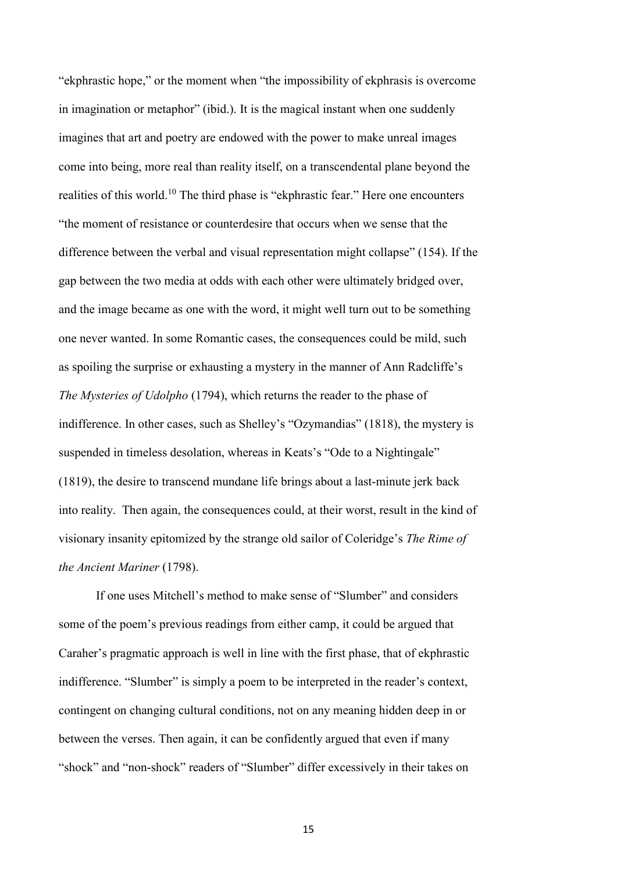"ekphrastic hope," or the moment when "the impossibility of ekphrasis is overcome in imagination or metaphor" (ibid.). It is the magical instant when one suddenly imagines that art and poetry are endowed with the power to make unreal images come into being, more real than reality itself, on a transcendental plane beyond the realities of this world.<sup>10</sup> The third phase is "ekphrastic fear." Here one encounters "the moment of resistance or counterdesire that occurs when we sense that the difference between the verbal and visual representation might collapse" (154). If the gap between the two media at odds with each other were ultimately bridged over, and the image became as one with the word, it might well turn out to be something one never wanted. In some Romantic cases, the consequences could be mild, such as spoiling the surprise or exhausting a mystery in the manner of Ann Radcliffe's *The Mysteries of Udolpho* (1794), which returns the reader to the phase of indifference. In other cases, such as Shelley's "Ozymandias" (1818), the mystery is suspended in timeless desolation, whereas in Keats's "Ode to a Nightingale" (1819), the desire to transcend mundane life brings about a last-minute jerk back into reality. Then again, the consequences could, at their worst, result in the kind of visionary insanity epitomized by the strange old sailor of Coleridge's *The Rime of the Ancient Mariner* (1798).

If one uses Mitchell's method to make sense of "Slumber" and considers some of the poem's previous readings from either camp, it could be argued that Caraher's pragmatic approach is well in line with the first phase, that of ekphrastic indifference. "Slumber" is simply a poem to be interpreted in the reader's context, contingent on changing cultural conditions, not on any meaning hidden deep in or between the verses. Then again, it can be confidently argued that even if many "shock" and "non-shock" readers of "Slumber" differ excessively in their takes on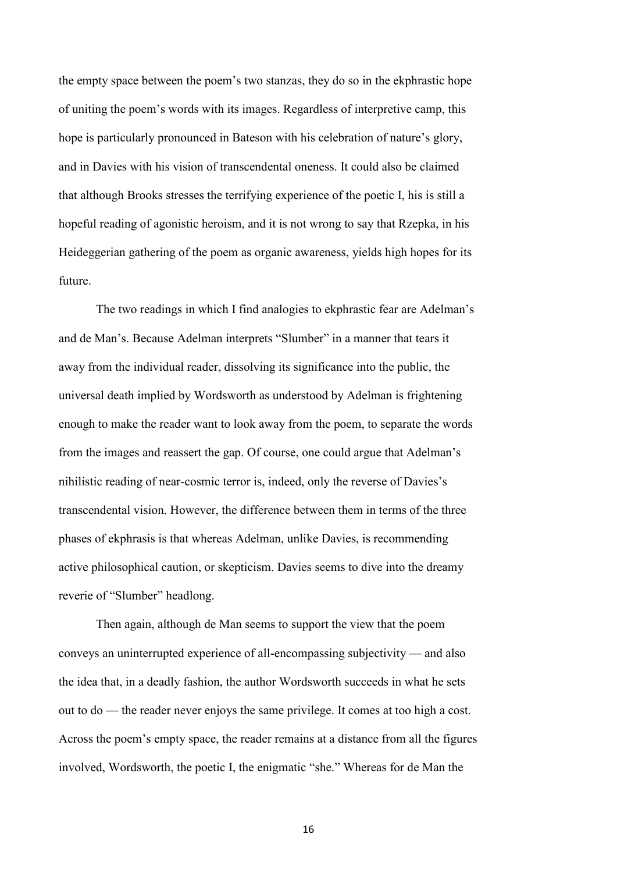the empty space between the poem's two stanzas, they do so in the ekphrastic hope of uniting the poem's words with its images. Regardless of interpretive camp, this hope is particularly pronounced in Bateson with his celebration of nature's glory, and in Davies with his vision of transcendental oneness. It could also be claimed that although Brooks stresses the terrifying experience of the poetic I, his is still a hopeful reading of agonistic heroism, and it is not wrong to say that Rzepka, in his Heideggerian gathering of the poem as organic awareness, yields high hopes for its future.

The two readings in which I find analogies to ekphrastic fear are Adelman's and de Man's. Because Adelman interprets "Slumber" in a manner that tears it away from the individual reader, dissolving its significance into the public, the universal death implied by Wordsworth as understood by Adelman is frightening enough to make the reader want to look away from the poem, to separate the words from the images and reassert the gap. Of course, one could argue that Adelman's nihilistic reading of near-cosmic terror is, indeed, only the reverse of Davies's transcendental vision. However, the difference between them in terms of the three phases of ekphrasis is that whereas Adelman, unlike Davies, is recommending active philosophical caution, or skepticism. Davies seems to dive into the dreamy reverie of "Slumber" headlong.

Then again, although de Man seems to support the view that the poem conveys an uninterrupted experience of all-encompassing subjectivity — and also the idea that, in a deadly fashion, the author Wordsworth succeeds in what he sets out to do — the reader never enjoys the same privilege. It comes at too high a cost. Across the poem's empty space, the reader remains at a distance from all the figures involved, Wordsworth, the poetic I, the enigmatic "she." Whereas for de Man the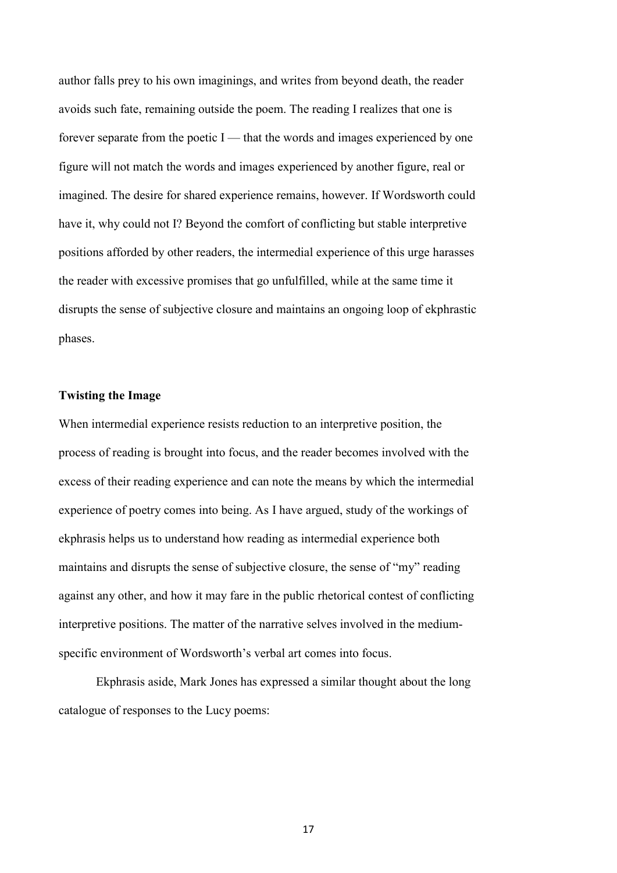author falls prey to his own imaginings, and writes from beyond death, the reader avoids such fate, remaining outside the poem. The reading I realizes that one is forever separate from the poetic I — that the words and images experienced by one figure will not match the words and images experienced by another figure, real or imagined. The desire for shared experience remains, however. If Wordsworth could have it, why could not I? Beyond the comfort of conflicting but stable interpretive positions afforded by other readers, the intermedial experience of this urge harasses the reader with excessive promises that go unfulfilled, while at the same time it disrupts the sense of subjective closure and maintains an ongoing loop of ekphrastic phases.

#### **Twisting the Image**

When intermedial experience resists reduction to an interpretive position, the process of reading is brought into focus, and the reader becomes involved with the excess of their reading experience and can note the means by which the intermedial experience of poetry comes into being. As I have argued, study of the workings of ekphrasis helps us to understand how reading as intermedial experience both maintains and disrupts the sense of subjective closure, the sense of "my" reading against any other, and how it may fare in the public rhetorical contest of conflicting interpretive positions. The matter of the narrative selves involved in the mediumspecific environment of Wordsworth's verbal art comes into focus.

Ekphrasis aside, Mark Jones has expressed a similar thought about the long catalogue of responses to the Lucy poems: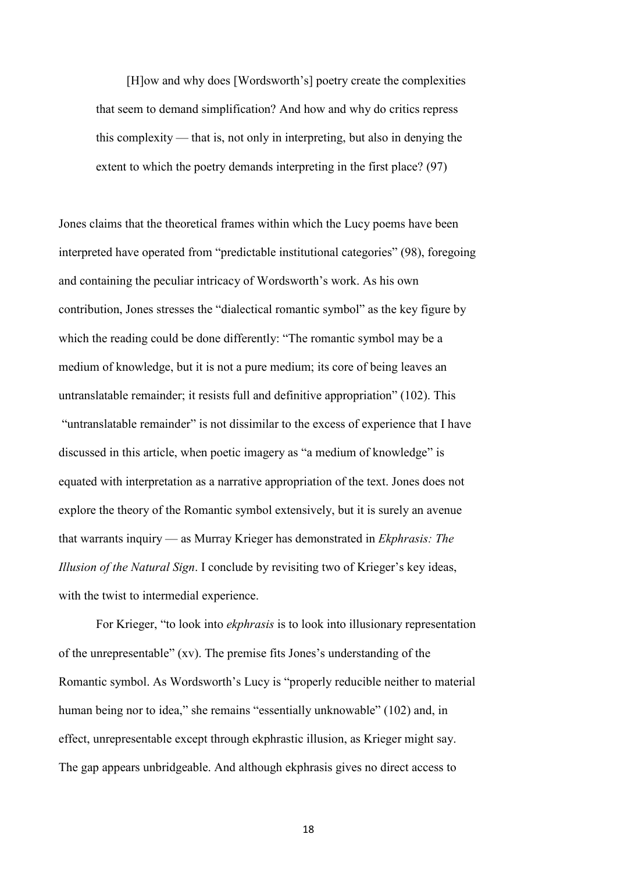[H]ow and why does [Wordsworth's] poetry create the complexities that seem to demand simplification? And how and why do critics repress this complexity — that is, not only in interpreting, but also in denying the extent to which the poetry demands interpreting in the first place? (97)

Jones claims that the theoretical frames within which the Lucy poems have been interpreted have operated from "predictable institutional categories" (98), foregoing and containing the peculiar intricacy of Wordsworth's work. As his own contribution, Jones stresses the "dialectical romantic symbol" as the key figure by which the reading could be done differently: "The romantic symbol may be a medium of knowledge, but it is not a pure medium; its core of being leaves an untranslatable remainder; it resists full and definitive appropriation" (102). This "untranslatable remainder" is not dissimilar to the excess of experience that I have discussed in this article, when poetic imagery as "a medium of knowledge" is equated with interpretation as a narrative appropriation of the text. Jones does not explore the theory of the Romantic symbol extensively, but it is surely an avenue that warrants inquiry — as Murray Krieger has demonstrated in *Ekphrasis: The Illusion of the Natural Sign*. I conclude by revisiting two of Krieger's key ideas, with the twist to intermedial experience.

For Krieger, "to look into *ekphrasis* is to look into illusionary representation of the unrepresentable" (xv). The premise fits Jones's understanding of the Romantic symbol. As Wordsworth's Lucy is "properly reducible neither to material human being nor to idea," she remains "essentially unknowable" (102) and, in effect, unrepresentable except through ekphrastic illusion, as Krieger might say. The gap appears unbridgeable. And although ekphrasis gives no direct access to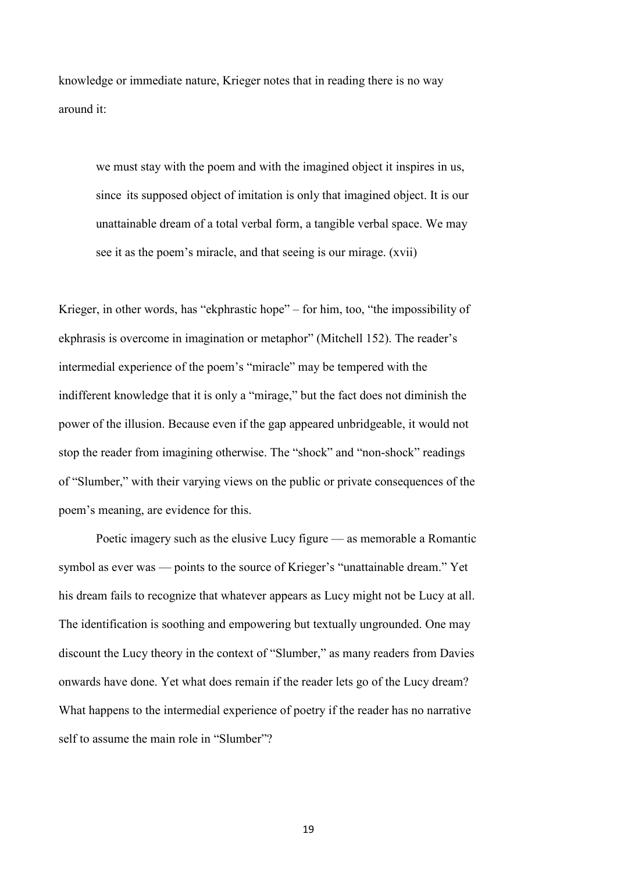knowledge or immediate nature, Krieger notes that in reading there is no way around it:

we must stay with the poem and with the imagined object it inspires in us, since its supposed object of imitation is only that imagined object. It is our unattainable dream of a total verbal form, a tangible verbal space. We may see it as the poem's miracle, and that seeing is our mirage. (xvii)

Krieger, in other words, has "ekphrastic hope" – for him, too, "the impossibility of ekphrasis is overcome in imagination or metaphor" (Mitchell 152). The reader's intermedial experience of the poem's "miracle" may be tempered with the indifferent knowledge that it is only a "mirage," but the fact does not diminish the power of the illusion. Because even if the gap appeared unbridgeable, it would not stop the reader from imagining otherwise. The "shock" and "non-shock" readings of "Slumber," with their varying views on the public or private consequences of the poem's meaning, are evidence for this.

Poetic imagery such as the elusive Lucy figure — as memorable a Romantic symbol as ever was — points to the source of Krieger's "unattainable dream." Yet his dream fails to recognize that whatever appears as Lucy might not be Lucy at all. The identification is soothing and empowering but textually ungrounded. One may discount the Lucy theory in the context of "Slumber," as many readers from Davies onwards have done. Yet what does remain if the reader lets go of the Lucy dream? What happens to the intermedial experience of poetry if the reader has no narrative self to assume the main role in "Slumber"?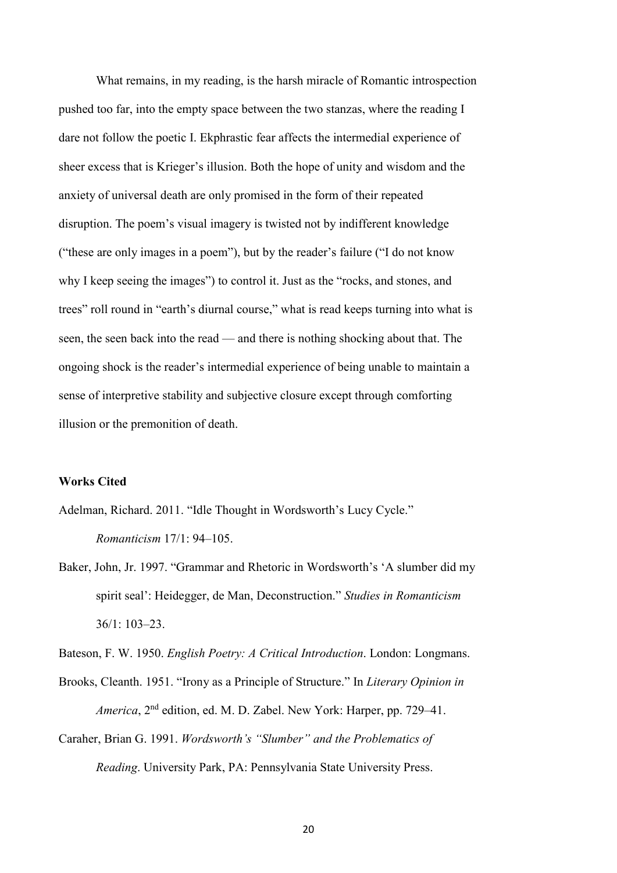What remains, in my reading, is the harsh miracle of Romantic introspection pushed too far, into the empty space between the two stanzas, where the reading I dare not follow the poetic I. Ekphrastic fear affects the intermedial experience of sheer excess that is Krieger's illusion. Both the hope of unity and wisdom and the anxiety of universal death are only promised in the form of their repeated disruption. The poem's visual imagery is twisted not by indifferent knowledge ("these are only images in a poem"), but by the reader's failure ("I do not know why I keep seeing the images") to control it. Just as the "rocks, and stones, and trees" roll round in "earth's diurnal course," what is read keeps turning into what is seen, the seen back into the read — and there is nothing shocking about that. The ongoing shock is the reader's intermedial experience of being unable to maintain a sense of interpretive stability and subjective closure except through comforting illusion or the premonition of death.

## **Works Cited**

- Adelman, Richard. 2011. "Idle Thought in Wordsworth's Lucy Cycle." *Romanticism* 17/1: 94–105.
- Baker, John, Jr. 1997. "Grammar and Rhetoric in Wordsworth's 'A slumber did my spirit seal': Heidegger, de Man, Deconstruction." *Studies in Romanticism* 36/1: 103–23.

Bateson, F. W. 1950. *English Poetry: A Critical Introduction*. London: Longmans.

- Brooks, Cleanth. 1951. "Irony as a Principle of Structure." In *Literary Opinion in America*, 2nd edition, ed. M. D. Zabel. New York: Harper, pp. 729–41.
- Caraher, Brian G. 1991. *Wordsworth's "Slumber" and the Problematics of Reading*. University Park, PA: Pennsylvania State University Press.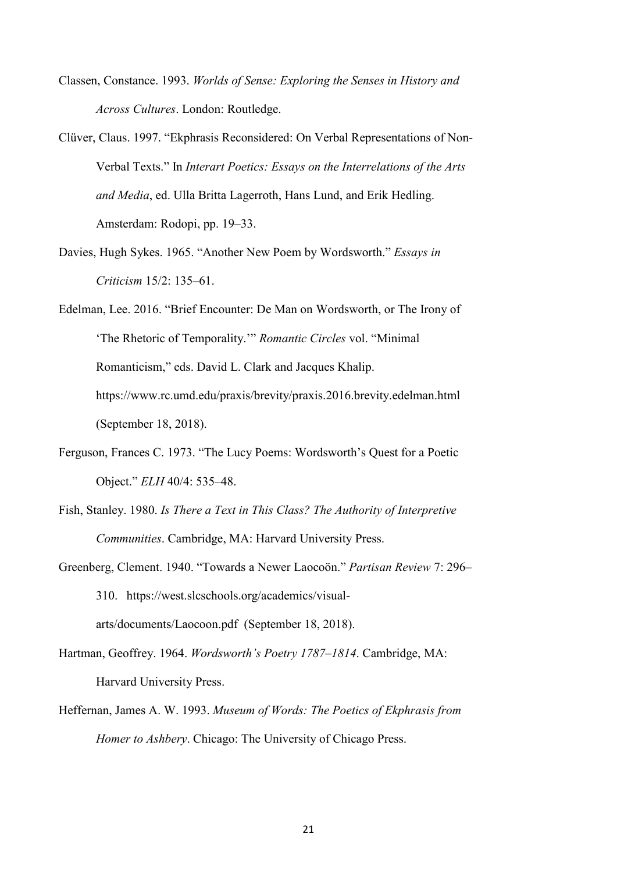- Classen, Constance. 1993. *Worlds of Sense: Exploring the Senses in History and Across Cultures*. London: Routledge.
- Clüver, Claus. 1997. "Ekphrasis Reconsidered: On Verbal Representations of Non-Verbal Texts." In *Interart Poetics: Essays on the Interrelations of the Arts and Media*, ed. Ulla Britta Lagerroth, Hans Lund, and Erik Hedling. Amsterdam: Rodopi, pp. 19–33.
- Davies, Hugh Sykes. 1965. "Another New Poem by Wordsworth." *Essays in Criticism* 15/2: 135–61.
- Edelman, Lee. 2016. "Brief Encounter: De Man on Wordsworth, or The Irony of 'The Rhetoric of Temporality.'" *Romantic Circles* vol. "Minimal Romanticism," eds. David L. Clark and Jacques Khalip. https://www.rc.umd.edu/praxis/brevity/praxis.2016.brevity.edelman.html (September 18, 2018).
- Ferguson, Frances C. 1973. "The Lucy Poems: Wordsworth's Quest for a Poetic Object." *ELH* 40/4: 535–48.
- Fish, Stanley. 1980. *Is There a Text in This Class? The Authority of Interpretive Communities*. Cambridge, MA: Harvard University Press.
- Greenberg, Clement. 1940. "Towards a Newer Laocoön." *Partisan Review* 7: 296– 310. https://west.slcschools.org/academics/visualarts/documents/Laocoon.pdf (September 18, 2018).
- Hartman, Geoffrey. 1964. *Wordsworth's Poetry 1787–1814*. Cambridge, MA: Harvard University Press.
- Heffernan, James A. W. 1993. *Museum of Words: The Poetics of Ekphrasis from Homer to Ashbery*. Chicago: The University of Chicago Press.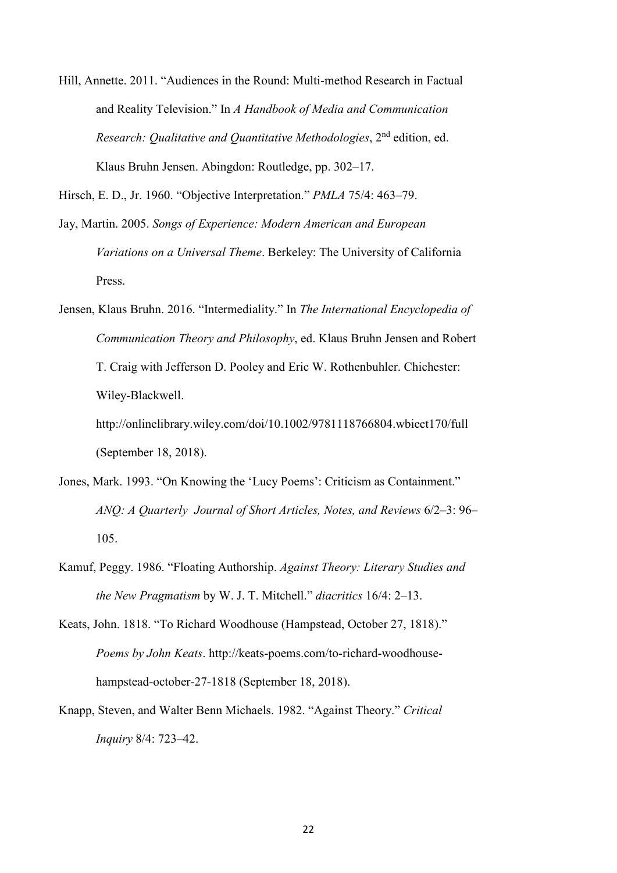Hill, Annette. 2011. "Audiences in the Round: Multi-method Research in Factual and Reality Television." In *A Handbook of Media and Communication Research: Qualitative and Quantitative Methodologies*, 2nd edition, ed. Klaus Bruhn Jensen. Abingdon: Routledge, pp. 302–17.

Hirsch, E. D., Jr. 1960. "Objective Interpretation." *PMLA* 75/4: 463–79.

- Jay, Martin. 2005. *Songs of Experience: Modern American and European Variations on a Universal Theme*. Berkeley: The University of California Press.
- Jensen, Klaus Bruhn. 2016. "Intermediality." In *The International Encyclopedia of Communication Theory and Philosophy*, ed. Klaus Bruhn Jensen and Robert T. Craig with Jefferson D. Pooley and Eric W. Rothenbuhler. Chichester: Wiley-Blackwell. http://onlinelibrary.wiley.com/doi/10.1002/9781118766804.wbiect170/full

(September 18, 2018).

- Jones, Mark. 1993. "On Knowing the 'Lucy Poems': Criticism as Containment." *ANQ: A Quarterly Journal of Short Articles, Notes, and Reviews* 6/2–3: 96– 105.
- Kamuf, Peggy. 1986. "Floating Authorship. *Against Theory: Literary Studies and the New Pragmatism* by W. J. T. Mitchell." *diacritics* 16/4: 2–13.
- Keats, John. 1818. "To Richard Woodhouse (Hampstead, October 27, 1818)." *Poems by John Keats*. http://keats-poems.com/to-richard-woodhousehampstead-october-27-1818 (September 18, 2018).
- Knapp, Steven, and Walter Benn Michaels. 1982. "Against Theory." *Critical Inquiry* 8/4: 723–42.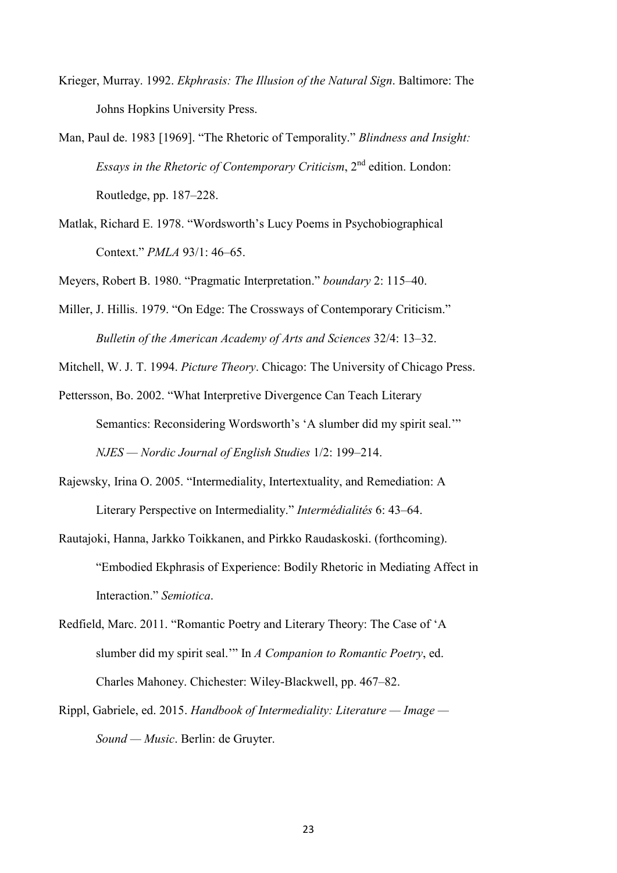- Krieger, Murray. 1992. *Ekphrasis: The Illusion of the Natural Sign*. Baltimore: The Johns Hopkins University Press.
- Man, Paul de. 1983 [1969]. "The Rhetoric of Temporality." *Blindness and Insight: Essays in the Rhetoric of Contemporary Criticism*, 2nd edition. London: Routledge, pp. 187–228.
- Matlak, Richard E. 1978. "Wordsworth's Lucy Poems in Psychobiographical Context." *PMLA* 93/1: 46–65.

Meyers, Robert B. 1980. "Pragmatic Interpretation." *boundary* 2: 115–40.

Miller, J. Hillis. 1979. "On Edge: The Crossways of Contemporary Criticism." *Bulletin of the American Academy of Arts and Sciences* 32/4: 13–32.

Mitchell, W. J. T. 1994. *Picture Theory*. Chicago: The University of Chicago Press.

Pettersson, Bo. 2002. "What Interpretive Divergence Can Teach Literary Semantics: Reconsidering Wordsworth's 'A slumber did my spirit seal.'" *NJES — Nordic Journal of English Studies* 1/2: 199–214.

- Rajewsky, Irina O. 2005. "Intermediality, Intertextuality, and Remediation: A Literary Perspective on Intermediality." *Intermédialités* 6: 43–64.
- Rautajoki, Hanna, Jarkko Toikkanen, and Pirkko Raudaskoski. (forthcoming). "Embodied Ekphrasis of Experience: Bodily Rhetoric in Mediating Affect in Interaction." *Semiotica*.
- Redfield, Marc. 2011. "Romantic Poetry and Literary Theory: The Case of 'A slumber did my spirit seal.'" In *A Companion to Romantic Poetry*, ed. Charles Mahoney. Chichester: Wiley-Blackwell, pp. 467–82.
- Rippl, Gabriele, ed. 2015. *Handbook of Intermediality: Literature — Image — Sound — Music*. Berlin: de Gruyter.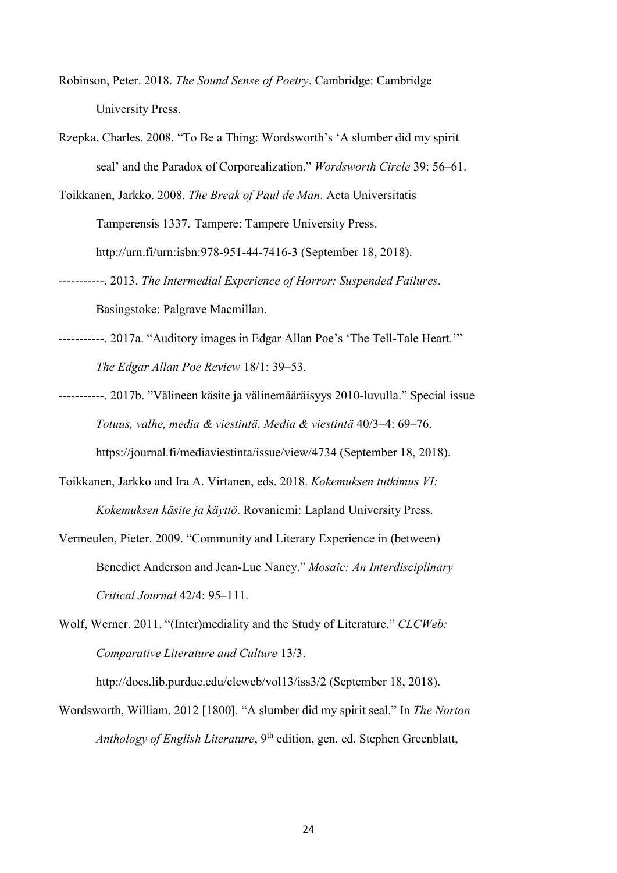- Robinson, Peter. 2018. *The Sound Sense of Poetry*. Cambridge: Cambridge University Press.
- Rzepka, Charles. 2008. "To Be a Thing: Wordsworth's 'A slumber did my spirit seal' and the Paradox of Corporealization." *Wordsworth Circle* 39: 56–61.

Toikkanen, Jarkko. 2008. *The Break of Paul de Man*. Acta Universitatis Tamperensis 1337. Tampere: Tampere University Press.

http://urn.fi/urn:isbn:978-951-44-7416-3 (September 18, 2018).

- -----------. 2013. *The Intermedial Experience of Horror: Suspended Failures*. Basingstoke: Palgrave Macmillan.
- -----------. 2017a. "Auditory images in Edgar Allan Poe's 'The Tell-Tale Heart.'" *The Edgar Allan Poe Review* 18/1: 39–53.
- -----------. 2017b. "Välineen käsite ja välinemääräisyys 2010-luvulla." Special issue *Totuus, valhe, media & viestintä. Media & viestintä* 40/3–4: 69–76. https://journal.fi/mediaviestinta/issue/view/4734 (September 18, 2018).
- Toikkanen, Jarkko and Ira A. Virtanen, eds. 2018. *Kokemuksen tutkimus VI: Kokemuksen käsite ja käyttö*. Rovaniemi: Lapland University Press.
- Vermeulen, Pieter. 2009. "Community and Literary Experience in (between) Benedict Anderson and Jean-Luc Nancy." *Mosaic: An Interdisciplinary Critical Journal* 42/4: 95–111.
- Wolf, Werner. 2011. "(Inter)mediality and the Study of Literature." *CLCWeb: Comparative Literature and Culture* 13/3.

http://docs.lib.purdue.edu/clcweb/vol13/iss3/2 (September 18, 2018).

Wordsworth, William. 2012 [1800]. "A slumber did my spirit seal." In *The Norton Anthology of English Literature*, 9<sup>th</sup> edition, gen. ed. Stephen Greenblatt,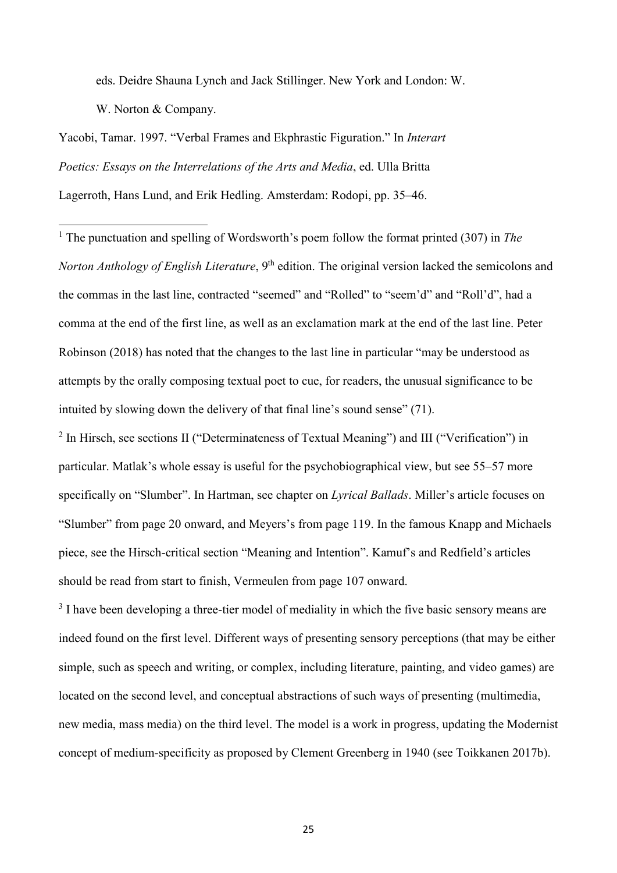eds. Deidre Shauna Lynch and Jack Stillinger. New York and London: W. W. Norton & Company.

Yacobi, Tamar. 1997. "Verbal Frames and Ekphrastic Figuration." In *Interart Poetics: Essays on the Interrelations of the Arts and Media*, ed. Ulla Britta Lagerroth, Hans Lund, and Erik Hedling. Amsterdam: Rodopi, pp. 35–46.

1

<sup>1</sup> The punctuation and spelling of Wordsworth's poem follow the format printed (307) in *The Norton Anthology of English Literature*, 9<sup>th</sup> edition. The original version lacked the semicolons and the commas in the last line, contracted "seemed" and "Rolled" to "seem'd" and "Roll'd", had a comma at the end of the first line, as well as an exclamation mark at the end of the last line. Peter Robinson (2018) has noted that the changes to the last line in particular "may be understood as attempts by the orally composing textual poet to cue, for readers, the unusual significance to be intuited by slowing down the delivery of that final line's sound sense" (71).

<sup>2</sup> In Hirsch, see sections II ("Determinateness of Textual Meaning") and III ("Verification") in particular. Matlak's whole essay is useful for the psychobiographical view, but see 55–57 more specifically on "Slumber". In Hartman, see chapter on *Lyrical Ballads*. Miller's article focuses on "Slumber" from page 20 onward, and Meyers's from page 119. In the famous Knapp and Michaels piece, see the Hirsch-critical section "Meaning and Intention". Kamuf's and Redfield's articles should be read from start to finish, Vermeulen from page 107 onward.

<sup>3</sup> I have been developing a three-tier model of mediality in which the five basic sensory means are indeed found on the first level. Different ways of presenting sensory perceptions (that may be either simple, such as speech and writing, or complex, including literature, painting, and video games) are located on the second level, and conceptual abstractions of such ways of presenting (multimedia, new media, mass media) on the third level. The model is a work in progress, updating the Modernist concept of medium-specificity as proposed by Clement Greenberg in 1940 (see Toikkanen 2017b).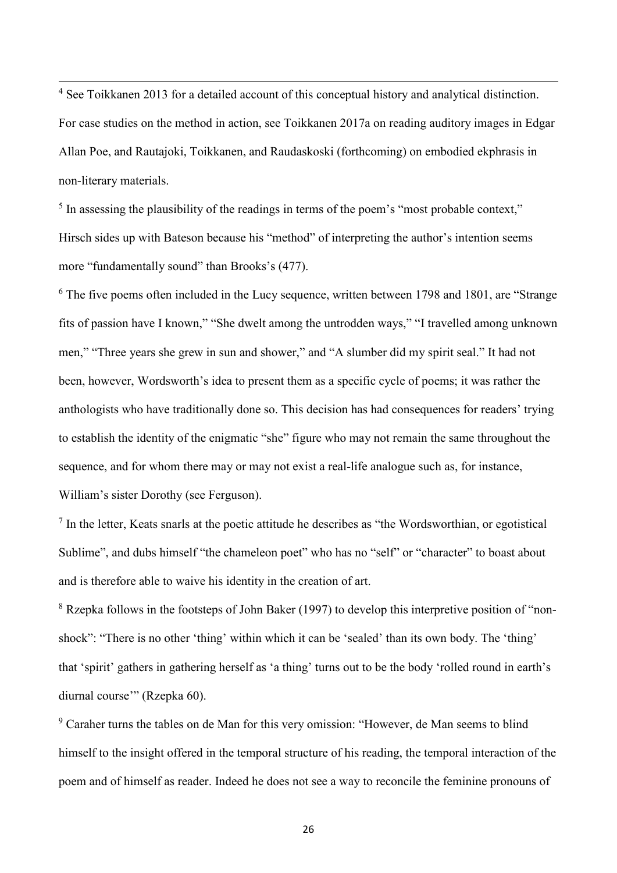<sup>4</sup> See Toikkanen 2013 for a detailed account of this conceptual history and analytical distinction. For case studies on the method in action, see Toikkanen 2017a on reading auditory images in Edgar Allan Poe, and Rautajoki, Toikkanen, and Raudaskoski (forthcoming) on embodied ekphrasis in non-literary materials.

1

<sup>5</sup> In assessing the plausibility of the readings in terms of the poem's "most probable context," Hirsch sides up with Bateson because his "method" of interpreting the author's intention seems more "fundamentally sound" than Brooks's (477).

<sup>6</sup> The five poems often included in the Lucy sequence, written between 1798 and 1801, are "Strange" fits of passion have I known," "She dwelt among the untrodden ways," "I travelled among unknown men," "Three years she grew in sun and shower," and "A slumber did my spirit seal." It had not been, however, Wordsworth's idea to present them as a specific cycle of poems; it was rather the anthologists who have traditionally done so. This decision has had consequences for readers' trying to establish the identity of the enigmatic "she" figure who may not remain the same throughout the sequence, and for whom there may or may not exist a real-life analogue such as, for instance, William's sister Dorothy (see Ferguson).

<sup>7</sup> In the letter, Keats snarls at the poetic attitude he describes as "the Wordsworthian, or egotistical Sublime", and dubs himself "the chameleon poet" who has no "self" or "character" to boast about and is therefore able to waive his identity in the creation of art.

<sup>8</sup> Rzepka follows in the footsteps of John Baker (1997) to develop this interpretive position of "nonshock": "There is no other 'thing' within which it can be 'sealed' than its own body. The 'thing' that 'spirit' gathers in gathering herself as 'a thing' turns out to be the body 'rolled round in earth's diurnal course'" (Rzepka 60).

<sup>9</sup> Caraher turns the tables on de Man for this very omission: "However, de Man seems to blind himself to the insight offered in the temporal structure of his reading, the temporal interaction of the poem and of himself as reader. Indeed he does not see a way to reconcile the feminine pronouns of